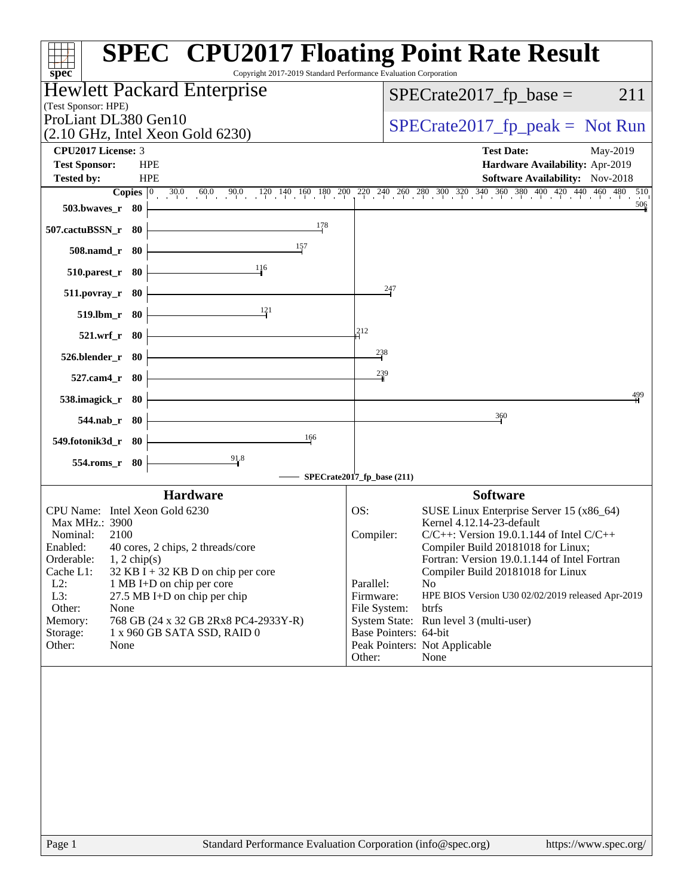| Copyright 2017-2019 Standard Performance Evaluation Corporation<br>$spec^*$                                                                                                                                                                                                                                                                                                           | <b>SPEC<sup>®</sup> CPU2017 Floating Point Rate Result</b>                                                                                                                                                                                                                                                                                                                                                                                       |
|---------------------------------------------------------------------------------------------------------------------------------------------------------------------------------------------------------------------------------------------------------------------------------------------------------------------------------------------------------------------------------------|--------------------------------------------------------------------------------------------------------------------------------------------------------------------------------------------------------------------------------------------------------------------------------------------------------------------------------------------------------------------------------------------------------------------------------------------------|
| Hewlett Packard Enterprise                                                                                                                                                                                                                                                                                                                                                            | $SPECrate2017_fp\_base =$<br>211                                                                                                                                                                                                                                                                                                                                                                                                                 |
| (Test Sponsor: HPE)<br>ProLiant DL380 Gen10                                                                                                                                                                                                                                                                                                                                           |                                                                                                                                                                                                                                                                                                                                                                                                                                                  |
| $(2.10 \text{ GHz}, \text{Intel Xeon Gold } 6230)$                                                                                                                                                                                                                                                                                                                                    | $SPECrate2017_fp\_peak = Not Run$                                                                                                                                                                                                                                                                                                                                                                                                                |
| CPU2017 License: 3                                                                                                                                                                                                                                                                                                                                                                    | <b>Test Date:</b><br>May-2019                                                                                                                                                                                                                                                                                                                                                                                                                    |
| <b>Test Sponsor:</b><br><b>HPE</b>                                                                                                                                                                                                                                                                                                                                                    | Hardware Availability: Apr-2019                                                                                                                                                                                                                                                                                                                                                                                                                  |
| <b>HPE</b><br><b>Tested by:</b>                                                                                                                                                                                                                                                                                                                                                       | <b>Software Availability:</b> Nov-2018<br>$5\overline{10}$                                                                                                                                                                                                                                                                                                                                                                                       |
| $30.0$ $60.0$ $90.0$ $120$ $140$ $160$ $180$ $200$<br>Copies $ 0\rangle$<br>503.bwaves_r 80                                                                                                                                                                                                                                                                                           | $2^{20}$ $2^{40}$ $2^{60}$ $2^{80}$ $3^{00}$ $3^{20}$ $3^{40}$ $3^{60}$ $3^{80}$ $4^{00}$ $4^{20}$ $4^{40}$ $4^{60}$ $480$<br>506                                                                                                                                                                                                                                                                                                                |
| 178                                                                                                                                                                                                                                                                                                                                                                                   |                                                                                                                                                                                                                                                                                                                                                                                                                                                  |
| 507.cactuBSSN_r 80                                                                                                                                                                                                                                                                                                                                                                    |                                                                                                                                                                                                                                                                                                                                                                                                                                                  |
| $\frac{157}{2}$<br>508.namd_r 80                                                                                                                                                                                                                                                                                                                                                      |                                                                                                                                                                                                                                                                                                                                                                                                                                                  |
| 116<br>510.parest_r 80                                                                                                                                                                                                                                                                                                                                                                |                                                                                                                                                                                                                                                                                                                                                                                                                                                  |
| 511.povray_r 80                                                                                                                                                                                                                                                                                                                                                                       | 247                                                                                                                                                                                                                                                                                                                                                                                                                                              |
| 121<br>519.lbm_r 80                                                                                                                                                                                                                                                                                                                                                                   |                                                                                                                                                                                                                                                                                                                                                                                                                                                  |
| 521.wrf_r 80                                                                                                                                                                                                                                                                                                                                                                          | 212                                                                                                                                                                                                                                                                                                                                                                                                                                              |
| 526.blender_r 80                                                                                                                                                                                                                                                                                                                                                                      | 238                                                                                                                                                                                                                                                                                                                                                                                                                                              |
| 527.cam4_r 80                                                                                                                                                                                                                                                                                                                                                                         | 239                                                                                                                                                                                                                                                                                                                                                                                                                                              |
| 538.imagick_r 80                                                                                                                                                                                                                                                                                                                                                                      | 499                                                                                                                                                                                                                                                                                                                                                                                                                                              |
| $544$ .nab_r 80                                                                                                                                                                                                                                                                                                                                                                       | 360                                                                                                                                                                                                                                                                                                                                                                                                                                              |
| 166<br>549.fotonik3d_r 80                                                                                                                                                                                                                                                                                                                                                             |                                                                                                                                                                                                                                                                                                                                                                                                                                                  |
| $\frac{91.8}{9}$<br>554.roms_r 80                                                                                                                                                                                                                                                                                                                                                     |                                                                                                                                                                                                                                                                                                                                                                                                                                                  |
|                                                                                                                                                                                                                                                                                                                                                                                       | SPECrate2017_fp_base (211)                                                                                                                                                                                                                                                                                                                                                                                                                       |
| <b>Hardware</b><br>CPU Name: Intel Xeon Gold 6230                                                                                                                                                                                                                                                                                                                                     | <b>Software</b><br>SUSE Linux Enterprise Server 15 (x86_64)<br>OS:                                                                                                                                                                                                                                                                                                                                                                               |
| Max MHz.: 3900<br>Nominal:<br>2100<br>Enabled:<br>40 cores, 2 chips, 2 threads/core<br>Orderable:<br>$1, 2$ chip(s)<br>Cache L1:<br>$32$ KB I + 32 KB D on chip per core<br>L2:<br>1 MB I+D on chip per core<br>L3:<br>27.5 MB I+D on chip per chip<br>Other:<br>None<br>768 GB (24 x 32 GB 2Rx8 PC4-2933Y-R)<br>Memory:<br>Storage:<br>1 x 960 GB SATA SSD, RAID 0<br>Other:<br>None | Kernel 4.12.14-23-default<br>$C/C++$ : Version 19.0.1.144 of Intel $C/C++$<br>Compiler:<br>Compiler Build 20181018 for Linux;<br>Fortran: Version 19.0.1.144 of Intel Fortran<br>Compiler Build 20181018 for Linux<br>Parallel:<br>N <sub>o</sub><br>Firmware:<br>HPE BIOS Version U30 02/02/2019 released Apr-2019<br>btrfs<br>File System:<br>System State: Run level 3 (multi-user)<br>Base Pointers: 64-bit<br>Peak Pointers: Not Applicable |
|                                                                                                                                                                                                                                                                                                                                                                                       | Other:<br>None                                                                                                                                                                                                                                                                                                                                                                                                                                   |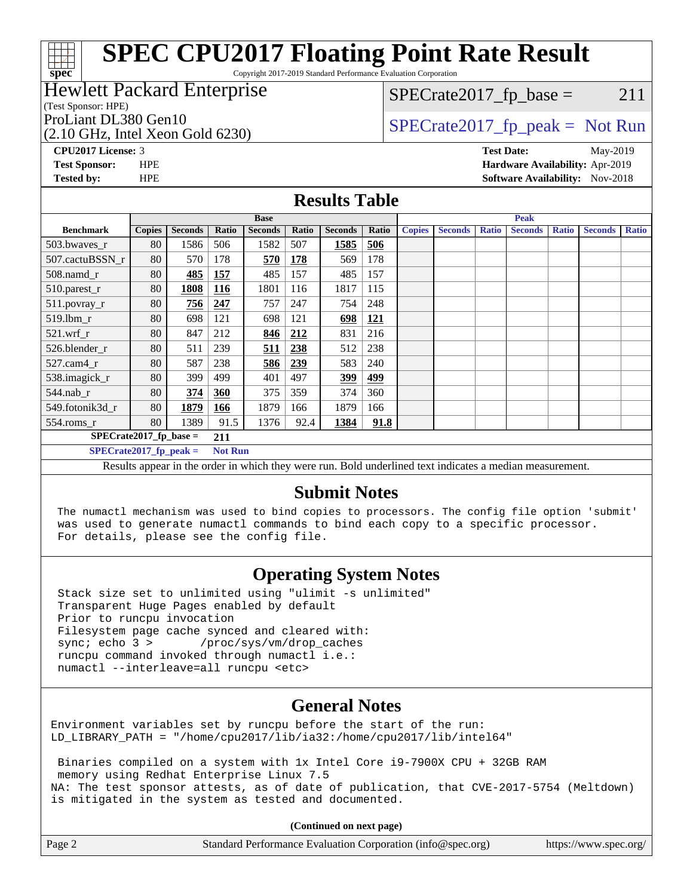Copyright 2017-2019 Standard Performance Evaluation Corporation

### Hewlett Packard Enterprise

(Test Sponsor: HPE)

(2.10 GHz, Intel Xeon Gold 6230)

 $SPECTate2017<sub>fr</sub> base = 211$ 

## ProLiant DL380 Gen10  $SPECTA 6220$   $SPECTA 62017$  fp\_peak = Not Run

**[spec](http://www.spec.org/)**

**[CPU2017 License:](http://www.spec.org/auto/cpu2017/Docs/result-fields.html#CPU2017License)** 3 **[Test Date:](http://www.spec.org/auto/cpu2017/Docs/result-fields.html#TestDate)** May-2019 **[Test Sponsor:](http://www.spec.org/auto/cpu2017/Docs/result-fields.html#TestSponsor)** HPE **[Hardware Availability:](http://www.spec.org/auto/cpu2017/Docs/result-fields.html#HardwareAvailability)** Apr-2019 **[Tested by:](http://www.spec.org/auto/cpu2017/Docs/result-fields.html#Testedby)** HPE **HPE [Software Availability:](http://www.spec.org/auto/cpu2017/Docs/result-fields.html#SoftwareAvailability)** Nov-2018

### **[Results Table](http://www.spec.org/auto/cpu2017/Docs/result-fields.html#ResultsTable)**

|                                                                               | <b>Base</b>                                |                |       |                | <b>Peak</b> |                |            |               |                |              |                |              |                |              |
|-------------------------------------------------------------------------------|--------------------------------------------|----------------|-------|----------------|-------------|----------------|------------|---------------|----------------|--------------|----------------|--------------|----------------|--------------|
| <b>Benchmark</b>                                                              | <b>Copies</b>                              | <b>Seconds</b> | Ratio | <b>Seconds</b> | Ratio       | <b>Seconds</b> | Ratio      | <b>Copies</b> | <b>Seconds</b> | <b>Ratio</b> | <b>Seconds</b> | <b>Ratio</b> | <b>Seconds</b> | <b>Ratio</b> |
| 503.bwaves_r                                                                  | 80                                         | 1586           | 506   | 1582           | 507         | 1585           | 506        |               |                |              |                |              |                |              |
| 507.cactuBSSN r                                                               | 80                                         | 570            | 178   | <u>570</u>     | <b>178</b>  | 569            | 178        |               |                |              |                |              |                |              |
| $508$ .namd $r$                                                               | 80                                         | 485            | 157   | 485            | 157         | 485            | 157        |               |                |              |                |              |                |              |
| 510.parest_r                                                                  | 80                                         | 1808           | 116   | 1801           | 116         | 1817           | 115        |               |                |              |                |              |                |              |
| 511.povray_r                                                                  | 80                                         | 756            | 247   | 757            | 247         | 754            | 248        |               |                |              |                |              |                |              |
| $519$ .lbm $r$                                                                | 80                                         | 698            | 121   | 698            | 121         | 698            | <b>121</b> |               |                |              |                |              |                |              |
| $521$ .wrf r                                                                  | 80                                         | 847            | 212   | 846            | 212         | 831            | 216        |               |                |              |                |              |                |              |
| 526.blender r                                                                 | 80                                         | 511            | 239   | 511            | 238         | 512            | 238        |               |                |              |                |              |                |              |
| $527$ .cam $4r$                                                               | 80                                         | 587            | 238   | 586            | 239         | 583            | 240        |               |                |              |                |              |                |              |
| 538.imagick_r                                                                 | 80                                         | 399            | 499   | 401            | 497         | 399            | 499        |               |                |              |                |              |                |              |
| $544$ .nab r                                                                  | 80                                         | 374            | 360   | 375            | 359         | 374            | 360        |               |                |              |                |              |                |              |
| 549.fotonik3d r                                                               | 80                                         | 1879           | 166   | 1879           | 166         | 1879           | 166        |               |                |              |                |              |                |              |
| $554$ .roms_r                                                                 | 80                                         | 1389           | 91.5  | 1376           | 92.4        | 1384           | 91.8       |               |                |              |                |              |                |              |
| $SPECrate2017$ fp base =<br>211                                               |                                            |                |       |                |             |                |            |               |                |              |                |              |                |              |
|                                                                               | $SPECrate2017_fp_peak =$<br><b>Not Run</b> |                |       |                |             |                |            |               |                |              |                |              |                |              |
| $\cdots$<br>.<br>$\mathbf{r}$<br>$\mathbf{r}$ $\mathbf{r}$<br>$\cdot$ $\cdot$ |                                            |                |       |                |             |                |            |               |                |              |                |              |                |              |

Results appear in the [order in which they were run.](http://www.spec.org/auto/cpu2017/Docs/result-fields.html#RunOrder) Bold underlined text [indicates a median measurement.](http://www.spec.org/auto/cpu2017/Docs/result-fields.html#Median)

## **[Submit Notes](http://www.spec.org/auto/cpu2017/Docs/result-fields.html#SubmitNotes)**

 The numactl mechanism was used to bind copies to processors. The config file option 'submit' was used to generate numactl commands to bind each copy to a specific processor. For details, please see the config file.

## **[Operating System Notes](http://www.spec.org/auto/cpu2017/Docs/result-fields.html#OperatingSystemNotes)**

 Stack size set to unlimited using "ulimit -s unlimited" Transparent Huge Pages enabled by default Prior to runcpu invocation Filesystem page cache synced and cleared with: sync; echo 3 > /proc/sys/vm/drop\_caches runcpu command invoked through numactl i.e.: numactl --interleave=all runcpu <etc>

## **[General Notes](http://www.spec.org/auto/cpu2017/Docs/result-fields.html#GeneralNotes)**

Environment variables set by runcpu before the start of the run: LD\_LIBRARY\_PATH = "/home/cpu2017/lib/ia32:/home/cpu2017/lib/intel64"

 Binaries compiled on a system with 1x Intel Core i9-7900X CPU + 32GB RAM memory using Redhat Enterprise Linux 7.5 NA: The test sponsor attests, as of date of publication, that CVE-2017-5754 (Meltdown) is mitigated in the system as tested and documented.

**(Continued on next page)**

| Page 2 | Standard Performance Evaluation Corporation (info@spec.org) | https://www.spec.org/ |
|--------|-------------------------------------------------------------|-----------------------|
|--------|-------------------------------------------------------------|-----------------------|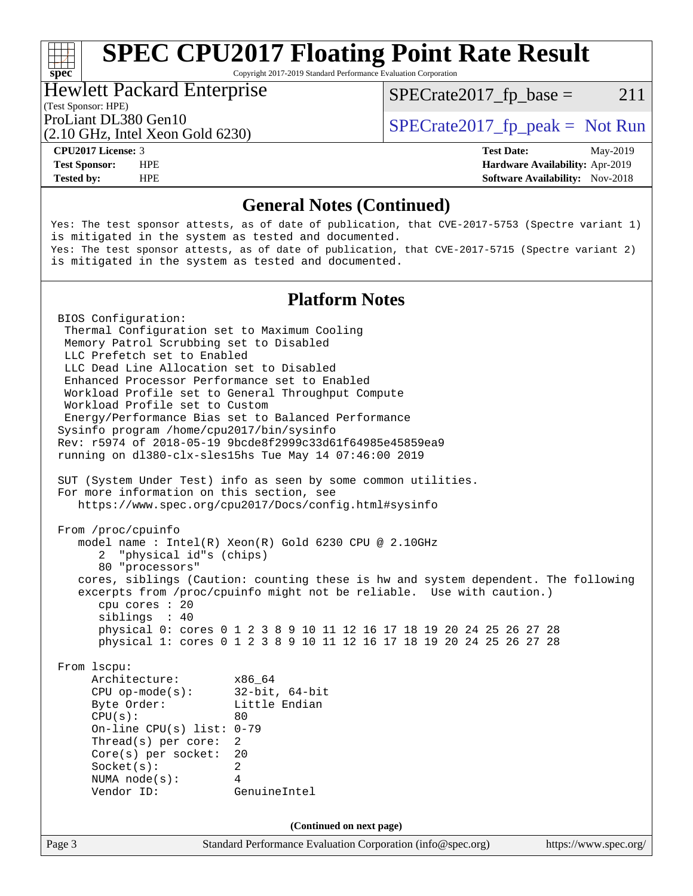Copyright 2017-2019 Standard Performance Evaluation Corporation

#### Hewlett Packard Enterprise

 $SPECTate2017<sub>fr</sub> base = 211$ 

## (Test Sponsor: HPE)

(2.10 GHz, Intel Xeon Gold 6230)

ProLiant DL380 Gen10  $SPECTA 6220$   $SPECTA 62017$  fp\_peak = Not Run

**[Tested by:](http://www.spec.org/auto/cpu2017/Docs/result-fields.html#Testedby)** HPE **HPE [Software Availability:](http://www.spec.org/auto/cpu2017/Docs/result-fields.html#SoftwareAvailability)** Nov-2018

**[CPU2017 License:](http://www.spec.org/auto/cpu2017/Docs/result-fields.html#CPU2017License)** 3 **[Test Date:](http://www.spec.org/auto/cpu2017/Docs/result-fields.html#TestDate)** May-2019 **[Test Sponsor:](http://www.spec.org/auto/cpu2017/Docs/result-fields.html#TestSponsor)** HPE **[Hardware Availability:](http://www.spec.org/auto/cpu2017/Docs/result-fields.html#HardwareAvailability)** Apr-2019

### **[General Notes \(Continued\)](http://www.spec.org/auto/cpu2017/Docs/result-fields.html#GeneralNotes)**

Yes: The test sponsor attests, as of date of publication, that CVE-2017-5753 (Spectre variant 1) is mitigated in the system as tested and documented. Yes: The test sponsor attests, as of date of publication, that CVE-2017-5715 (Spectre variant 2) is mitigated in the system as tested and documented.

## **[Platform Notes](http://www.spec.org/auto/cpu2017/Docs/result-fields.html#PlatformNotes)**

Page 3 Standard Performance Evaluation Corporation [\(info@spec.org\)](mailto:info@spec.org) <https://www.spec.org/> BIOS Configuration: Thermal Configuration set to Maximum Cooling Memory Patrol Scrubbing set to Disabled LLC Prefetch set to Enabled LLC Dead Line Allocation set to Disabled Enhanced Processor Performance set to Enabled Workload Profile set to General Throughput Compute Workload Profile set to Custom Energy/Performance Bias set to Balanced Performance Sysinfo program /home/cpu2017/bin/sysinfo Rev: r5974 of 2018-05-19 9bcde8f2999c33d61f64985e45859ea9 running on dl380-clx-sles15hs Tue May 14 07:46:00 2019 SUT (System Under Test) info as seen by some common utilities. For more information on this section, see <https://www.spec.org/cpu2017/Docs/config.html#sysinfo> From /proc/cpuinfo model name : Intel(R) Xeon(R) Gold 6230 CPU @ 2.10GHz 2 "physical id"s (chips) 80 "processors" cores, siblings (Caution: counting these is hw and system dependent. The following excerpts from /proc/cpuinfo might not be reliable. Use with caution.) cpu cores : 20 siblings : 40 physical 0: cores 0 1 2 3 8 9 10 11 12 16 17 18 19 20 24 25 26 27 28 physical 1: cores 0 1 2 3 8 9 10 11 12 16 17 18 19 20 24 25 26 27 28 From lscpu: Architecture: x86\_64 CPU op-mode(s): 32-bit, 64-bit Byte Order: Little Endian  $CPU(s):$  80 On-line CPU(s) list: 0-79 Thread(s) per core: 2 Core(s) per socket: 20 Socket(s): 2 NUMA node(s): 4 Vendor ID: GenuineIntel **(Continued on next page)**

**[spec](http://www.spec.org/)**<sup>®</sup>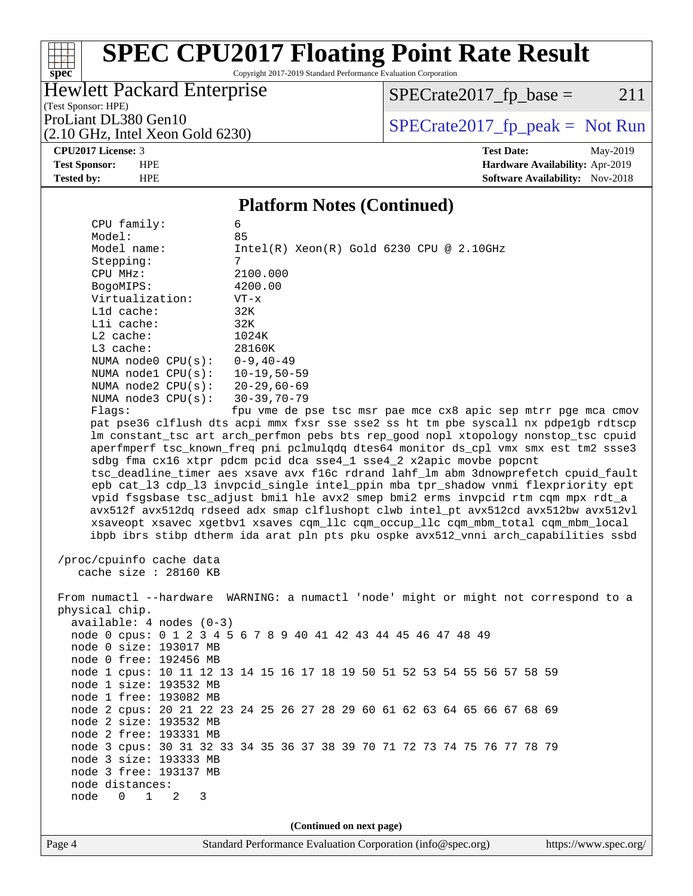Copyright 2017-2019 Standard Performance Evaluation Corporation

## Hewlett Packard Enterprise

 $SPECrate2017_fp\_base = 211$ 

(Test Sponsor: HPE)

(2.10 GHz, Intel Xeon Gold 6230)

ProLiant DL380 Gen10<br>  $(2.10 \text{ GHz} \text{ Intel } X \text{eon } \text{Gold } 6230)$   $\qquad \qquad$  [SPECrate2017\\_fp\\_peak =](http://www.spec.org/auto/cpu2017/Docs/result-fields.html#SPECrate2017fppeak) Not Run

#### **[CPU2017 License:](http://www.spec.org/auto/cpu2017/Docs/result-fields.html#CPU2017License)** 3 **[Test Date:](http://www.spec.org/auto/cpu2017/Docs/result-fields.html#TestDate)** May-2019

**[spec](http://www.spec.org/)**

**[Test Sponsor:](http://www.spec.org/auto/cpu2017/Docs/result-fields.html#TestSponsor)** HPE **[Hardware Availability:](http://www.spec.org/auto/cpu2017/Docs/result-fields.html#HardwareAvailability)** Apr-2019 **[Tested by:](http://www.spec.org/auto/cpu2017/Docs/result-fields.html#Testedby)** HPE **HPE [Software Availability:](http://www.spec.org/auto/cpu2017/Docs/result-fields.html#SoftwareAvailability)** Nov-2018

## **[Platform Notes \(Continued\)](http://www.spec.org/auto/cpu2017/Docs/result-fields.html#PlatformNotes)**

|                                               | 1 lation in 1 volco (Continueu)                                                      |
|-----------------------------------------------|--------------------------------------------------------------------------------------|
| CPU family:                                   | 6                                                                                    |
| Model:                                        | 85                                                                                   |
| Model name:                                   | $Intel(R) Xeon(R) Gold 6230 CPU @ 2.10GHz$                                           |
| Stepping:                                     | 7                                                                                    |
| CPU MHz:                                      | 2100.000                                                                             |
| BogoMIPS:                                     | 4200.00                                                                              |
| Virtualization:                               | $VT - x$                                                                             |
| L1d cache:                                    | 32K                                                                                  |
| Lli cache:                                    | 32K                                                                                  |
| L2 cache:                                     | 1024K                                                                                |
| L3 cache:                                     | 28160K                                                                               |
| NUMA node0 $CPU(s): 0-9, 40-49$               |                                                                                      |
| NUMA node1 CPU(s): 10-19,50-59                |                                                                                      |
| NUMA node2 CPU(s): 20-29,60-69                |                                                                                      |
| NUMA $node3$ $CPU(s):$                        | 30-39,70-79                                                                          |
| Flags:                                        | fpu vme de pse tsc msr pae mce cx8 apic sep mtrr pge mca cmov                        |
|                                               | pat pse36 clflush dts acpi mmx fxsr sse sse2 ss ht tm pbe syscall nx pdpelgb rdtscp  |
|                                               | lm constant_tsc art arch_perfmon pebs bts rep_good nopl xtopology nonstop_tsc cpuid  |
|                                               | aperfmperf tsc_known_freq pni pclmulqdq dtes64 monitor ds_cpl vmx smx est tm2 ssse3  |
|                                               | sdbg fma cx16 xtpr pdcm pcid dca sse4_1 sse4_2 x2apic movbe popcnt                   |
|                                               | tsc_deadline_timer aes xsave avx f16c rdrand lahf_lm abm 3dnowprefetch cpuid_fault   |
|                                               | epb cat_13 cdp_13 invpcid_single intel_ppin mba tpr_shadow vnmi flexpriority ept     |
|                                               | vpid fsgsbase tsc_adjust bmil hle avx2 smep bmi2 erms invpcid rtm cqm mpx rdt_a      |
|                                               | avx512f avx512dq rdseed adx smap clflushopt clwb intel_pt avx512cd avx512bw avx512vl |
|                                               | xsaveopt xsavec xgetbvl xsaves cqm_llc cqm_occup_llc cqm_mbm_total cqm_mbm_local     |
|                                               | ibpb ibrs stibp dtherm ida arat pln pts pku ospke avx512_vnni arch_capabilities ssbd |
|                                               |                                                                                      |
| /proc/cpuinfo cache data                      |                                                                                      |
| cache size : 28160 KB                         |                                                                                      |
|                                               |                                                                                      |
|                                               | From numactl --hardware WARNING: a numactl 'node' might or might not correspond to a |
| physical chip.                                |                                                                                      |
|                                               |                                                                                      |
| $available: 4 nodes (0-3)$                    | node 0 cpus: 0 1 2 3 4 5 6 7 8 9 40 41 42 43 44 45 46 47 48 49                       |
|                                               |                                                                                      |
| node 0 size: 193017 MB                        |                                                                                      |
| node 0 free: 192456 MB                        |                                                                                      |
|                                               | node 1 cpus: 10 11 12 13 14 15 16 17 18 19 50 51 52 53 54 55 56 57 58 59             |
| node 1 size: 193532 MB                        |                                                                                      |
| node 1 free: 193082 MB                        |                                                                                      |
|                                               | node 2 cpus: 20 21 22 23 24 25 26 27 28 29 60 61 62 63 64 65 66 67 68 69             |
| node 2 size: 193532 MB                        |                                                                                      |
| node 2 free: 193331 MB                        |                                                                                      |
|                                               | node 3 cpus: 30 31 32 33 34 35 36 37 38 39 70 71 72 73 74 75 76 77 78 79             |
| node 3 size: 193333 MB                        |                                                                                      |
| node 3 free: 193137 MB                        |                                                                                      |
| node distances:                               |                                                                                      |
| $\mathbf 0$<br>$\mathbf{1}$<br>node<br>2<br>3 |                                                                                      |
|                                               |                                                                                      |
|                                               | (Continued on next page)                                                             |
|                                               |                                                                                      |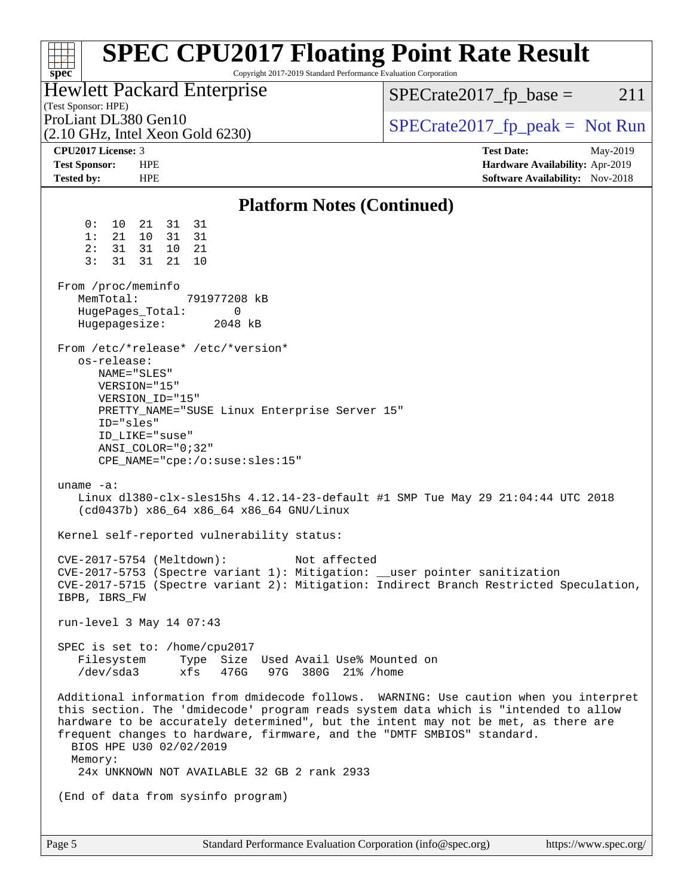| <b>SPEC CPU2017 Floating Point Rate Result</b><br>Copyright 2017-2019 Standard Performance Evaluation Corporation<br>$spec^*$                                                                                                                                                                                                                                                                                                       |                                                                                                     |
|-------------------------------------------------------------------------------------------------------------------------------------------------------------------------------------------------------------------------------------------------------------------------------------------------------------------------------------------------------------------------------------------------------------------------------------|-----------------------------------------------------------------------------------------------------|
| Hewlett Packard Enterprise<br>(Test Sponsor: HPE)                                                                                                                                                                                                                                                                                                                                                                                   | $SPECrate2017_fp\_base =$<br>211                                                                    |
| ProLiant DL380 Gen10<br>$(2.10 \text{ GHz}, \text{Intel Xeon Gold } 6230)$                                                                                                                                                                                                                                                                                                                                                          | $SPECrate2017fr peak = Not Run$                                                                     |
| CPU <sub>2017</sub> License: 3<br><b>Test Sponsor:</b><br><b>HPE</b><br><b>Tested by:</b><br><b>HPE</b>                                                                                                                                                                                                                                                                                                                             | <b>Test Date:</b><br>May-2019<br>Hardware Availability: Apr-2019<br>Software Availability: Nov-2018 |
| <b>Platform Notes (Continued)</b>                                                                                                                                                                                                                                                                                                                                                                                                   |                                                                                                     |
| 31<br>0 :<br>10<br>21<br>31<br>10<br>31<br>1:<br>21<br>31<br>31<br>31<br>10<br>21<br>2:<br>3:<br>31<br>21<br>31<br>10<br>From /proc/meminfo<br>MemTotal:<br>791977208 kB<br>HugePages_Total:<br>0<br>Hugepagesize:<br>2048 kB                                                                                                                                                                                                       |                                                                                                     |
| From /etc/*release* /etc/*version*<br>os-release:<br>NAME="SLES"<br>VERSION="15"<br>VERSION_ID="15"<br>PRETTY_NAME="SUSE Linux Enterprise Server 15"<br>ID="sles"<br>ID_LIKE="suse"<br>$ANSI$ _COLOR=" $0:32$ "<br>$CPE\_NAME='cpe://o:suse: sles:15"$                                                                                                                                                                              |                                                                                                     |
| uname $-a$ :<br>Linux dl380-clx-sles15hs 4.12.14-23-default #1 SMP Tue May 29 21:04:44 UTC 2018<br>(cd0437b) x86_64 x86_64 x86_64 GNU/Linux                                                                                                                                                                                                                                                                                         |                                                                                                     |
| Kernel self-reported vulnerability status:                                                                                                                                                                                                                                                                                                                                                                                          |                                                                                                     |
| CVE-2017-5754 (Meltdown):<br>Not affected<br>CVE-2017-5753 (Spectre variant 1): Mitigation: __user pointer sanitization<br>CVE-2017-5715 (Spectre variant 2): Mitigation: Indirect Branch Restricted Speculation,<br>IBPB, IBRS_FW                                                                                                                                                                                                  |                                                                                                     |
| run-level 3 May 14 07:43                                                                                                                                                                                                                                                                                                                                                                                                            |                                                                                                     |
| SPEC is set to: /home/cpu2017<br>Filesystem Type Size Used Avail Use% Mounted on<br>/dev/sda3 xfs 476G 97G 380G 21% /home                                                                                                                                                                                                                                                                                                           |                                                                                                     |
| Additional information from dmidecode follows. WARNING: Use caution when you interpret<br>this section. The 'dmidecode' program reads system data which is "intended to allow<br>hardware to be accurately determined", but the intent may not be met, as there are<br>frequent changes to hardware, firmware, and the "DMTF SMBIOS" standard.<br>BIOS HPE U30 02/02/2019<br>Memory:<br>24x UNKNOWN NOT AVAILABLE 32 GB 2 rank 2933 |                                                                                                     |
| (End of data from sysinfo program)                                                                                                                                                                                                                                                                                                                                                                                                  |                                                                                                     |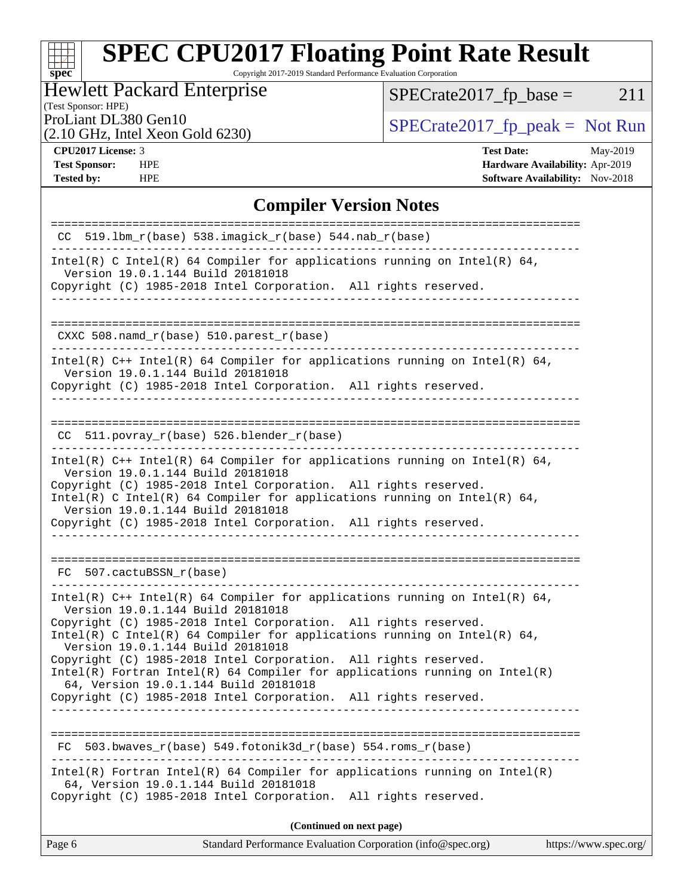Copyright 2017-2019 Standard Performance Evaluation Corporation

## Hewlett Packard Enterprise

(Test Sponsor: HPE)

 $SPECTate2017_fp\_base = 211$ 

(2.10 GHz, Intel Xeon Gold 6230)

ProLiant DL380 Gen10<br>  $(2.10 \text{ GHz} \text{ Intel } X \text{eon } \text{Gold } 6230)$   $\qquad \qquad$  [SPECrate2017\\_fp\\_peak =](http://www.spec.org/auto/cpu2017/Docs/result-fields.html#SPECrate2017fppeak) Not Run

**[spec](http://www.spec.org/)**

**[Tested by:](http://www.spec.org/auto/cpu2017/Docs/result-fields.html#Testedby)** HPE **HPE [Software Availability:](http://www.spec.org/auto/cpu2017/Docs/result-fields.html#SoftwareAvailability)** Nov-2018

**[CPU2017 License:](http://www.spec.org/auto/cpu2017/Docs/result-fields.html#CPU2017License)** 3 **[Test Date:](http://www.spec.org/auto/cpu2017/Docs/result-fields.html#TestDate)** May-2019 **[Test Sponsor:](http://www.spec.org/auto/cpu2017/Docs/result-fields.html#TestSponsor)** HPE **[Hardware Availability:](http://www.spec.org/auto/cpu2017/Docs/result-fields.html#HardwareAvailability)** Apr-2019

## **[Compiler Version Notes](http://www.spec.org/auto/cpu2017/Docs/result-fields.html#CompilerVersionNotes)**

| CC 519.1bm_r(base) 538.imagick_r(base) 544.nab_r(base)                                                                |
|-----------------------------------------------------------------------------------------------------------------------|
|                                                                                                                       |
| Intel(R) C Intel(R) 64 Compiler for applications running on Intel(R) 64,<br>Version 19.0.1.144 Build 20181018         |
| Copyright (C) 1985-2018 Intel Corporation. All rights reserved.<br>____________________________________               |
|                                                                                                                       |
| CXXC 508.namd_r(base) 510.parest_r(base)                                                                              |
| Intel(R) $C++$ Intel(R) 64 Compiler for applications running on Intel(R) 64,                                          |
| Version 19.0.1.144 Build 20181018<br>Copyright (C) 1985-2018 Intel Corporation. All rights reserved.                  |
| --------------------                                                                                                  |
| CC 511.povray_r(base) 526.blender_r(base)                                                                             |
| ______________________________                                                                                        |
| Intel(R) $C++$ Intel(R) 64 Compiler for applications running on Intel(R) 64,<br>Version 19.0.1.144 Build 20181018     |
| Copyright (C) 1985-2018 Intel Corporation. All rights reserved.                                                       |
| Intel(R) C Intel(R) 64 Compiler for applications running on Intel(R) 64,<br>Version 19.0.1.144 Build 20181018         |
| Copyright (C) 1985-2018 Intel Corporation. All rights reserved.                                                       |
|                                                                                                                       |
|                                                                                                                       |
| FC 507.cactuBSSN r(base)                                                                                              |
| Intel(R) $C++$ Intel(R) 64 Compiler for applications running on Intel(R) 64,<br>Version 19.0.1.144 Build 20181018     |
| Copyright (C) 1985-2018 Intel Corporation. All rights reserved.                                                       |
| Intel(R) C Intel(R) 64 Compiler for applications running on Intel(R) 64,<br>Version 19.0.1.144 Build 20181018         |
| Copyright (C) 1985-2018 Intel Corporation. All rights reserved.                                                       |
| $Intel(R)$ Fortran Intel(R) 64 Compiler for applications running on Intel(R)<br>64, Version 19.0.1.144 Build 20181018 |
| Copyright (C) 1985-2018 Intel Corporation. All rights reserved.                                                       |
| -------------------------                                                                                             |
| 503.bwaves r(base) 549.fotonik3d_r(base) 554.roms_r(base)                                                             |
| $Intel(R)$ Fortran Intel(R) 64 Compiler for applications running on Intel(R)<br>64, Version 19.0.1.144 Build 20181018 |
| Copyright (C) 1985-2018 Intel Corporation.<br>All rights reserved.                                                    |
| (Continued on next page)                                                                                              |
| Standard Performance Evaluation Corporation (info@spec.org)<br>Page 6<br>https://www.spec.org/                        |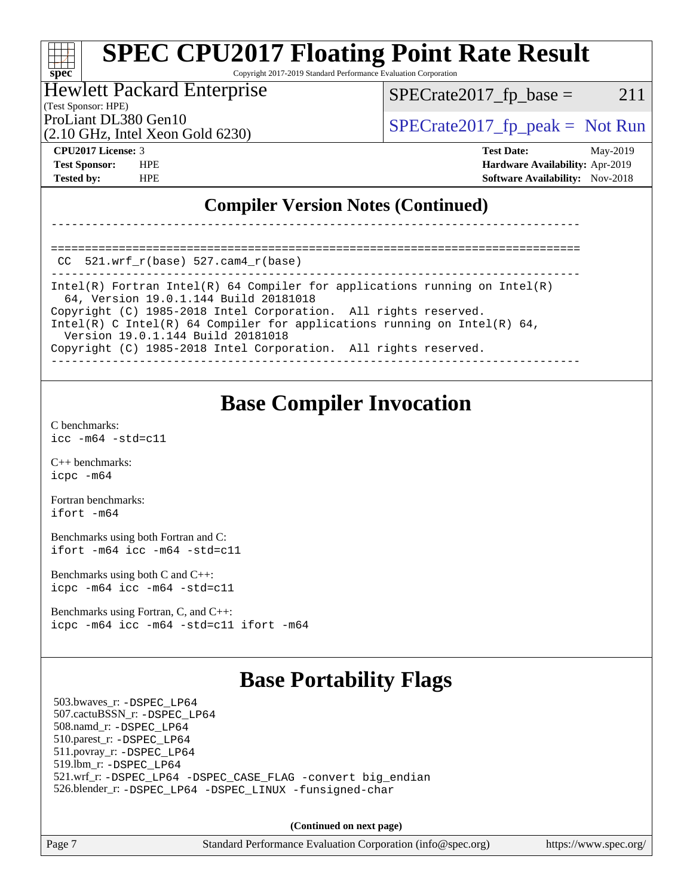Copyright 2017-2019 Standard Performance Evaluation Corporation

#### Hewlett Packard Enterprise

(2.10 GHz, Intel Xeon Gold 6230)

 $SPECTate2017<sub>fr</sub> base = 211$ 

(Test Sponsor: HPE)

ProLiant DL380 Gen10  $SPECTR_{12}$  [SPECrate2017\\_fp\\_peak =](http://www.spec.org/auto/cpu2017/Docs/result-fields.html#SPECrate2017fppeak) Not Run

**[spec](http://www.spec.org/)**

**[CPU2017 License:](http://www.spec.org/auto/cpu2017/Docs/result-fields.html#CPU2017License)** 3 **[Test Date:](http://www.spec.org/auto/cpu2017/Docs/result-fields.html#TestDate)** May-2019 **[Test Sponsor:](http://www.spec.org/auto/cpu2017/Docs/result-fields.html#TestSponsor)** HPE **[Hardware Availability:](http://www.spec.org/auto/cpu2017/Docs/result-fields.html#HardwareAvailability)** Apr-2019 **[Tested by:](http://www.spec.org/auto/cpu2017/Docs/result-fields.html#Testedby)** HPE **HPE [Software Availability:](http://www.spec.org/auto/cpu2017/Docs/result-fields.html#SoftwareAvailability)** Nov-2018

## **[Compiler Version Notes \(Continued\)](http://www.spec.org/auto/cpu2017/Docs/result-fields.html#CompilerVersionNotes)**

==============================================================================  $CC$  521.wrf $r(base)$  527.cam $4$  $r(base)$ 

------------------------------------------------------------------------------ Intel(R) Fortran Intel(R) 64 Compiler for applications running on Intel(R) 64, Version 19.0.1.144 Build 20181018 Copyright (C) 1985-2018 Intel Corporation. All rights reserved. Intel(R) C Intel(R) 64 Compiler for applications running on Intel(R) 64, Version 19.0.1.144 Build 20181018 Copyright (C) 1985-2018 Intel Corporation. All rights reserved. ------------------------------------------------------------------------------

------------------------------------------------------------------------------

## **[Base Compiler Invocation](http://www.spec.org/auto/cpu2017/Docs/result-fields.html#BaseCompilerInvocation)**

[C benchmarks](http://www.spec.org/auto/cpu2017/Docs/result-fields.html#Cbenchmarks): [icc -m64 -std=c11](http://www.spec.org/cpu2017/results/res2019q2/cpu2017-20190524-14461.flags.html#user_CCbase_intel_icc_64bit_c11_33ee0cdaae7deeeab2a9725423ba97205ce30f63b9926c2519791662299b76a0318f32ddfffdc46587804de3178b4f9328c46fa7c2b0cd779d7a61945c91cd35)

[C++ benchmarks:](http://www.spec.org/auto/cpu2017/Docs/result-fields.html#CXXbenchmarks) [icpc -m64](http://www.spec.org/cpu2017/results/res2019q2/cpu2017-20190524-14461.flags.html#user_CXXbase_intel_icpc_64bit_4ecb2543ae3f1412ef961e0650ca070fec7b7afdcd6ed48761b84423119d1bf6bdf5cad15b44d48e7256388bc77273b966e5eb805aefd121eb22e9299b2ec9d9)

[Fortran benchmarks](http://www.spec.org/auto/cpu2017/Docs/result-fields.html#Fortranbenchmarks): [ifort -m64](http://www.spec.org/cpu2017/results/res2019q2/cpu2017-20190524-14461.flags.html#user_FCbase_intel_ifort_64bit_24f2bb282fbaeffd6157abe4f878425411749daecae9a33200eee2bee2fe76f3b89351d69a8130dd5949958ce389cf37ff59a95e7a40d588e8d3a57e0c3fd751)

[Benchmarks using both Fortran and C](http://www.spec.org/auto/cpu2017/Docs/result-fields.html#BenchmarksusingbothFortranandC): [ifort -m64](http://www.spec.org/cpu2017/results/res2019q2/cpu2017-20190524-14461.flags.html#user_CC_FCbase_intel_ifort_64bit_24f2bb282fbaeffd6157abe4f878425411749daecae9a33200eee2bee2fe76f3b89351d69a8130dd5949958ce389cf37ff59a95e7a40d588e8d3a57e0c3fd751) [icc -m64 -std=c11](http://www.spec.org/cpu2017/results/res2019q2/cpu2017-20190524-14461.flags.html#user_CC_FCbase_intel_icc_64bit_c11_33ee0cdaae7deeeab2a9725423ba97205ce30f63b9926c2519791662299b76a0318f32ddfffdc46587804de3178b4f9328c46fa7c2b0cd779d7a61945c91cd35)

[Benchmarks using both C and C++](http://www.spec.org/auto/cpu2017/Docs/result-fields.html#BenchmarksusingbothCandCXX): [icpc -m64](http://www.spec.org/cpu2017/results/res2019q2/cpu2017-20190524-14461.flags.html#user_CC_CXXbase_intel_icpc_64bit_4ecb2543ae3f1412ef961e0650ca070fec7b7afdcd6ed48761b84423119d1bf6bdf5cad15b44d48e7256388bc77273b966e5eb805aefd121eb22e9299b2ec9d9) [icc -m64 -std=c11](http://www.spec.org/cpu2017/results/res2019q2/cpu2017-20190524-14461.flags.html#user_CC_CXXbase_intel_icc_64bit_c11_33ee0cdaae7deeeab2a9725423ba97205ce30f63b9926c2519791662299b76a0318f32ddfffdc46587804de3178b4f9328c46fa7c2b0cd779d7a61945c91cd35)

[Benchmarks using Fortran, C, and C++:](http://www.spec.org/auto/cpu2017/Docs/result-fields.html#BenchmarksusingFortranCandCXX) [icpc -m64](http://www.spec.org/cpu2017/results/res2019q2/cpu2017-20190524-14461.flags.html#user_CC_CXX_FCbase_intel_icpc_64bit_4ecb2543ae3f1412ef961e0650ca070fec7b7afdcd6ed48761b84423119d1bf6bdf5cad15b44d48e7256388bc77273b966e5eb805aefd121eb22e9299b2ec9d9) [icc -m64 -std=c11](http://www.spec.org/cpu2017/results/res2019q2/cpu2017-20190524-14461.flags.html#user_CC_CXX_FCbase_intel_icc_64bit_c11_33ee0cdaae7deeeab2a9725423ba97205ce30f63b9926c2519791662299b76a0318f32ddfffdc46587804de3178b4f9328c46fa7c2b0cd779d7a61945c91cd35) [ifort -m64](http://www.spec.org/cpu2017/results/res2019q2/cpu2017-20190524-14461.flags.html#user_CC_CXX_FCbase_intel_ifort_64bit_24f2bb282fbaeffd6157abe4f878425411749daecae9a33200eee2bee2fe76f3b89351d69a8130dd5949958ce389cf37ff59a95e7a40d588e8d3a57e0c3fd751)

# **[Base Portability Flags](http://www.spec.org/auto/cpu2017/Docs/result-fields.html#BasePortabilityFlags)**

 503.bwaves\_r: [-DSPEC\\_LP64](http://www.spec.org/cpu2017/results/res2019q2/cpu2017-20190524-14461.flags.html#suite_basePORTABILITY503_bwaves_r_DSPEC_LP64) 507.cactuBSSN\_r: [-DSPEC\\_LP64](http://www.spec.org/cpu2017/results/res2019q2/cpu2017-20190524-14461.flags.html#suite_basePORTABILITY507_cactuBSSN_r_DSPEC_LP64) 508.namd\_r: [-DSPEC\\_LP64](http://www.spec.org/cpu2017/results/res2019q2/cpu2017-20190524-14461.flags.html#suite_basePORTABILITY508_namd_r_DSPEC_LP64) 510.parest\_r: [-DSPEC\\_LP64](http://www.spec.org/cpu2017/results/res2019q2/cpu2017-20190524-14461.flags.html#suite_basePORTABILITY510_parest_r_DSPEC_LP64) 511.povray\_r: [-DSPEC\\_LP64](http://www.spec.org/cpu2017/results/res2019q2/cpu2017-20190524-14461.flags.html#suite_basePORTABILITY511_povray_r_DSPEC_LP64) 519.lbm\_r: [-DSPEC\\_LP64](http://www.spec.org/cpu2017/results/res2019q2/cpu2017-20190524-14461.flags.html#suite_basePORTABILITY519_lbm_r_DSPEC_LP64) 521.wrf\_r: [-DSPEC\\_LP64](http://www.spec.org/cpu2017/results/res2019q2/cpu2017-20190524-14461.flags.html#suite_basePORTABILITY521_wrf_r_DSPEC_LP64) [-DSPEC\\_CASE\\_FLAG](http://www.spec.org/cpu2017/results/res2019q2/cpu2017-20190524-14461.flags.html#b521.wrf_r_baseCPORTABILITY_DSPEC_CASE_FLAG) [-convert big\\_endian](http://www.spec.org/cpu2017/results/res2019q2/cpu2017-20190524-14461.flags.html#user_baseFPORTABILITY521_wrf_r_convert_big_endian_c3194028bc08c63ac5d04de18c48ce6d347e4e562e8892b8bdbdc0214820426deb8554edfa529a3fb25a586e65a3d812c835984020483e7e73212c4d31a38223) 526.blender\_r: [-DSPEC\\_LP64](http://www.spec.org/cpu2017/results/res2019q2/cpu2017-20190524-14461.flags.html#suite_basePORTABILITY526_blender_r_DSPEC_LP64) [-DSPEC\\_LINUX](http://www.spec.org/cpu2017/results/res2019q2/cpu2017-20190524-14461.flags.html#b526.blender_r_baseCPORTABILITY_DSPEC_LINUX) [-funsigned-char](http://www.spec.org/cpu2017/results/res2019q2/cpu2017-20190524-14461.flags.html#user_baseCPORTABILITY526_blender_r_force_uchar_40c60f00ab013830e2dd6774aeded3ff59883ba5a1fc5fc14077f794d777847726e2a5858cbc7672e36e1b067e7e5c1d9a74f7176df07886a243d7cc18edfe67)

**(Continued on next page)**

Page 7 Standard Performance Evaluation Corporation [\(info@spec.org\)](mailto:info@spec.org) <https://www.spec.org/>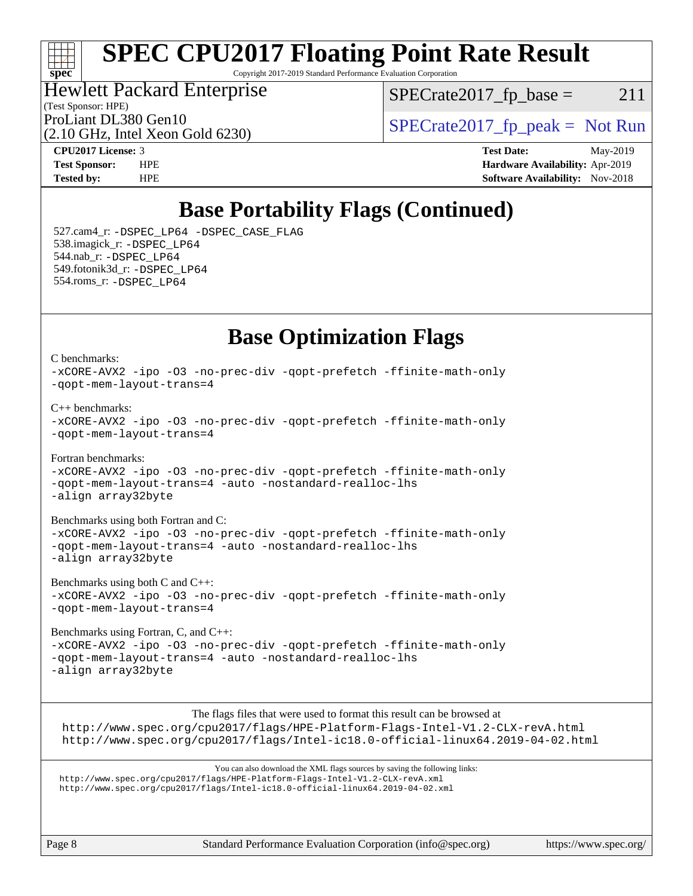## ti h **[spec](http://www.spec.org/)**

# **[SPEC CPU2017 Floating Point Rate Result](http://www.spec.org/auto/cpu2017/Docs/result-fields.html#SPECCPU2017FloatingPointRateResult)**

Copyright 2017-2019 Standard Performance Evaluation Corporation

## Hewlett Packard Enterprise

 $SPECTate2017<sub>fr</sub> base = 211$ 

(Test Sponsor: HPE)

(2.10 GHz, Intel Xeon Gold 6230)

ProLiant DL380 Gen10  $SPECTR = 10$   $SPECTR = 2017$   $(p_{peak} = Not Run$ 

**[CPU2017 License:](http://www.spec.org/auto/cpu2017/Docs/result-fields.html#CPU2017License)** 3 **[Test Date:](http://www.spec.org/auto/cpu2017/Docs/result-fields.html#TestDate)** May-2019 **[Test Sponsor:](http://www.spec.org/auto/cpu2017/Docs/result-fields.html#TestSponsor)** HPE **[Hardware Availability:](http://www.spec.org/auto/cpu2017/Docs/result-fields.html#HardwareAvailability)** Apr-2019 **[Tested by:](http://www.spec.org/auto/cpu2017/Docs/result-fields.html#Testedby)** HPE **HPE [Software Availability:](http://www.spec.org/auto/cpu2017/Docs/result-fields.html#SoftwareAvailability)** Nov-2018

# **[Base Portability Flags \(Continued\)](http://www.spec.org/auto/cpu2017/Docs/result-fields.html#BasePortabilityFlags)**

 527.cam4\_r: [-DSPEC\\_LP64](http://www.spec.org/cpu2017/results/res2019q2/cpu2017-20190524-14461.flags.html#suite_basePORTABILITY527_cam4_r_DSPEC_LP64) [-DSPEC\\_CASE\\_FLAG](http://www.spec.org/cpu2017/results/res2019q2/cpu2017-20190524-14461.flags.html#b527.cam4_r_baseCPORTABILITY_DSPEC_CASE_FLAG) 538.imagick\_r: [-DSPEC\\_LP64](http://www.spec.org/cpu2017/results/res2019q2/cpu2017-20190524-14461.flags.html#suite_basePORTABILITY538_imagick_r_DSPEC_LP64) 544.nab\_r: [-DSPEC\\_LP64](http://www.spec.org/cpu2017/results/res2019q2/cpu2017-20190524-14461.flags.html#suite_basePORTABILITY544_nab_r_DSPEC_LP64) 549.fotonik3d\_r: [-DSPEC\\_LP64](http://www.spec.org/cpu2017/results/res2019q2/cpu2017-20190524-14461.flags.html#suite_basePORTABILITY549_fotonik3d_r_DSPEC_LP64) 554.roms\_r: [-DSPEC\\_LP64](http://www.spec.org/cpu2017/results/res2019q2/cpu2017-20190524-14461.flags.html#suite_basePORTABILITY554_roms_r_DSPEC_LP64)

## **[Base Optimization Flags](http://www.spec.org/auto/cpu2017/Docs/result-fields.html#BaseOptimizationFlags)**

[C benchmarks](http://www.spec.org/auto/cpu2017/Docs/result-fields.html#Cbenchmarks): [-xCORE-AVX2](http://www.spec.org/cpu2017/results/res2019q2/cpu2017-20190524-14461.flags.html#user_CCbase_f-xCORE-AVX2) [-ipo](http://www.spec.org/cpu2017/results/res2019q2/cpu2017-20190524-14461.flags.html#user_CCbase_f-ipo) [-O3](http://www.spec.org/cpu2017/results/res2019q2/cpu2017-20190524-14461.flags.html#user_CCbase_f-O3) [-no-prec-div](http://www.spec.org/cpu2017/results/res2019q2/cpu2017-20190524-14461.flags.html#user_CCbase_f-no-prec-div) [-qopt-prefetch](http://www.spec.org/cpu2017/results/res2019q2/cpu2017-20190524-14461.flags.html#user_CCbase_f-qopt-prefetch) [-ffinite-math-only](http://www.spec.org/cpu2017/results/res2019q2/cpu2017-20190524-14461.flags.html#user_CCbase_f_finite_math_only_cb91587bd2077682c4b38af759c288ed7c732db004271a9512da14a4f8007909a5f1427ecbf1a0fb78ff2a814402c6114ac565ca162485bbcae155b5e4258871) [-qopt-mem-layout-trans=4](http://www.spec.org/cpu2017/results/res2019q2/cpu2017-20190524-14461.flags.html#user_CCbase_f-qopt-mem-layout-trans_fa39e755916c150a61361b7846f310bcdf6f04e385ef281cadf3647acec3f0ae266d1a1d22d972a7087a248fd4e6ca390a3634700869573d231a252c784941a8) [C++ benchmarks:](http://www.spec.org/auto/cpu2017/Docs/result-fields.html#CXXbenchmarks) [-xCORE-AVX2](http://www.spec.org/cpu2017/results/res2019q2/cpu2017-20190524-14461.flags.html#user_CXXbase_f-xCORE-AVX2) [-ipo](http://www.spec.org/cpu2017/results/res2019q2/cpu2017-20190524-14461.flags.html#user_CXXbase_f-ipo) [-O3](http://www.spec.org/cpu2017/results/res2019q2/cpu2017-20190524-14461.flags.html#user_CXXbase_f-O3) [-no-prec-div](http://www.spec.org/cpu2017/results/res2019q2/cpu2017-20190524-14461.flags.html#user_CXXbase_f-no-prec-div) [-qopt-prefetch](http://www.spec.org/cpu2017/results/res2019q2/cpu2017-20190524-14461.flags.html#user_CXXbase_f-qopt-prefetch) [-ffinite-math-only](http://www.spec.org/cpu2017/results/res2019q2/cpu2017-20190524-14461.flags.html#user_CXXbase_f_finite_math_only_cb91587bd2077682c4b38af759c288ed7c732db004271a9512da14a4f8007909a5f1427ecbf1a0fb78ff2a814402c6114ac565ca162485bbcae155b5e4258871) [-qopt-mem-layout-trans=4](http://www.spec.org/cpu2017/results/res2019q2/cpu2017-20190524-14461.flags.html#user_CXXbase_f-qopt-mem-layout-trans_fa39e755916c150a61361b7846f310bcdf6f04e385ef281cadf3647acec3f0ae266d1a1d22d972a7087a248fd4e6ca390a3634700869573d231a252c784941a8) [Fortran benchmarks](http://www.spec.org/auto/cpu2017/Docs/result-fields.html#Fortranbenchmarks): [-xCORE-AVX2](http://www.spec.org/cpu2017/results/res2019q2/cpu2017-20190524-14461.flags.html#user_FCbase_f-xCORE-AVX2) [-ipo](http://www.spec.org/cpu2017/results/res2019q2/cpu2017-20190524-14461.flags.html#user_FCbase_f-ipo) [-O3](http://www.spec.org/cpu2017/results/res2019q2/cpu2017-20190524-14461.flags.html#user_FCbase_f-O3) [-no-prec-div](http://www.spec.org/cpu2017/results/res2019q2/cpu2017-20190524-14461.flags.html#user_FCbase_f-no-prec-div) [-qopt-prefetch](http://www.spec.org/cpu2017/results/res2019q2/cpu2017-20190524-14461.flags.html#user_FCbase_f-qopt-prefetch) [-ffinite-math-only](http://www.spec.org/cpu2017/results/res2019q2/cpu2017-20190524-14461.flags.html#user_FCbase_f_finite_math_only_cb91587bd2077682c4b38af759c288ed7c732db004271a9512da14a4f8007909a5f1427ecbf1a0fb78ff2a814402c6114ac565ca162485bbcae155b5e4258871) [-qopt-mem-layout-trans=4](http://www.spec.org/cpu2017/results/res2019q2/cpu2017-20190524-14461.flags.html#user_FCbase_f-qopt-mem-layout-trans_fa39e755916c150a61361b7846f310bcdf6f04e385ef281cadf3647acec3f0ae266d1a1d22d972a7087a248fd4e6ca390a3634700869573d231a252c784941a8) [-auto](http://www.spec.org/cpu2017/results/res2019q2/cpu2017-20190524-14461.flags.html#user_FCbase_f-auto) [-nostandard-realloc-lhs](http://www.spec.org/cpu2017/results/res2019q2/cpu2017-20190524-14461.flags.html#user_FCbase_f_2003_std_realloc_82b4557e90729c0f113870c07e44d33d6f5a304b4f63d4c15d2d0f1fab99f5daaed73bdb9275d9ae411527f28b936061aa8b9c8f2d63842963b95c9dd6426b8a) [-align array32byte](http://www.spec.org/cpu2017/results/res2019q2/cpu2017-20190524-14461.flags.html#user_FCbase_align_array32byte_b982fe038af199962ba9a80c053b8342c548c85b40b8e86eb3cc33dee0d7986a4af373ac2d51c3f7cf710a18d62fdce2948f201cd044323541f22fc0fffc51b6) [Benchmarks using both Fortran and C](http://www.spec.org/auto/cpu2017/Docs/result-fields.html#BenchmarksusingbothFortranandC): [-xCORE-AVX2](http://www.spec.org/cpu2017/results/res2019q2/cpu2017-20190524-14461.flags.html#user_CC_FCbase_f-xCORE-AVX2) [-ipo](http://www.spec.org/cpu2017/results/res2019q2/cpu2017-20190524-14461.flags.html#user_CC_FCbase_f-ipo) [-O3](http://www.spec.org/cpu2017/results/res2019q2/cpu2017-20190524-14461.flags.html#user_CC_FCbase_f-O3) [-no-prec-div](http://www.spec.org/cpu2017/results/res2019q2/cpu2017-20190524-14461.flags.html#user_CC_FCbase_f-no-prec-div) [-qopt-prefetch](http://www.spec.org/cpu2017/results/res2019q2/cpu2017-20190524-14461.flags.html#user_CC_FCbase_f-qopt-prefetch) [-ffinite-math-only](http://www.spec.org/cpu2017/results/res2019q2/cpu2017-20190524-14461.flags.html#user_CC_FCbase_f_finite_math_only_cb91587bd2077682c4b38af759c288ed7c732db004271a9512da14a4f8007909a5f1427ecbf1a0fb78ff2a814402c6114ac565ca162485bbcae155b5e4258871) [-qopt-mem-layout-trans=4](http://www.spec.org/cpu2017/results/res2019q2/cpu2017-20190524-14461.flags.html#user_CC_FCbase_f-qopt-mem-layout-trans_fa39e755916c150a61361b7846f310bcdf6f04e385ef281cadf3647acec3f0ae266d1a1d22d972a7087a248fd4e6ca390a3634700869573d231a252c784941a8) [-auto](http://www.spec.org/cpu2017/results/res2019q2/cpu2017-20190524-14461.flags.html#user_CC_FCbase_f-auto) [-nostandard-realloc-lhs](http://www.spec.org/cpu2017/results/res2019q2/cpu2017-20190524-14461.flags.html#user_CC_FCbase_f_2003_std_realloc_82b4557e90729c0f113870c07e44d33d6f5a304b4f63d4c15d2d0f1fab99f5daaed73bdb9275d9ae411527f28b936061aa8b9c8f2d63842963b95c9dd6426b8a) [-align array32byte](http://www.spec.org/cpu2017/results/res2019q2/cpu2017-20190524-14461.flags.html#user_CC_FCbase_align_array32byte_b982fe038af199962ba9a80c053b8342c548c85b40b8e86eb3cc33dee0d7986a4af373ac2d51c3f7cf710a18d62fdce2948f201cd044323541f22fc0fffc51b6) [Benchmarks using both C and C++](http://www.spec.org/auto/cpu2017/Docs/result-fields.html#BenchmarksusingbothCandCXX): [-xCORE-AVX2](http://www.spec.org/cpu2017/results/res2019q2/cpu2017-20190524-14461.flags.html#user_CC_CXXbase_f-xCORE-AVX2) [-ipo](http://www.spec.org/cpu2017/results/res2019q2/cpu2017-20190524-14461.flags.html#user_CC_CXXbase_f-ipo) [-O3](http://www.spec.org/cpu2017/results/res2019q2/cpu2017-20190524-14461.flags.html#user_CC_CXXbase_f-O3) [-no-prec-div](http://www.spec.org/cpu2017/results/res2019q2/cpu2017-20190524-14461.flags.html#user_CC_CXXbase_f-no-prec-div) [-qopt-prefetch](http://www.spec.org/cpu2017/results/res2019q2/cpu2017-20190524-14461.flags.html#user_CC_CXXbase_f-qopt-prefetch) [-ffinite-math-only](http://www.spec.org/cpu2017/results/res2019q2/cpu2017-20190524-14461.flags.html#user_CC_CXXbase_f_finite_math_only_cb91587bd2077682c4b38af759c288ed7c732db004271a9512da14a4f8007909a5f1427ecbf1a0fb78ff2a814402c6114ac565ca162485bbcae155b5e4258871) [-qopt-mem-layout-trans=4](http://www.spec.org/cpu2017/results/res2019q2/cpu2017-20190524-14461.flags.html#user_CC_CXXbase_f-qopt-mem-layout-trans_fa39e755916c150a61361b7846f310bcdf6f04e385ef281cadf3647acec3f0ae266d1a1d22d972a7087a248fd4e6ca390a3634700869573d231a252c784941a8)

[Benchmarks using Fortran, C, and C++:](http://www.spec.org/auto/cpu2017/Docs/result-fields.html#BenchmarksusingFortranCandCXX) [-xCORE-AVX2](http://www.spec.org/cpu2017/results/res2019q2/cpu2017-20190524-14461.flags.html#user_CC_CXX_FCbase_f-xCORE-AVX2) [-ipo](http://www.spec.org/cpu2017/results/res2019q2/cpu2017-20190524-14461.flags.html#user_CC_CXX_FCbase_f-ipo) [-O3](http://www.spec.org/cpu2017/results/res2019q2/cpu2017-20190524-14461.flags.html#user_CC_CXX_FCbase_f-O3) [-no-prec-div](http://www.spec.org/cpu2017/results/res2019q2/cpu2017-20190524-14461.flags.html#user_CC_CXX_FCbase_f-no-prec-div) [-qopt-prefetch](http://www.spec.org/cpu2017/results/res2019q2/cpu2017-20190524-14461.flags.html#user_CC_CXX_FCbase_f-qopt-prefetch) [-ffinite-math-only](http://www.spec.org/cpu2017/results/res2019q2/cpu2017-20190524-14461.flags.html#user_CC_CXX_FCbase_f_finite_math_only_cb91587bd2077682c4b38af759c288ed7c732db004271a9512da14a4f8007909a5f1427ecbf1a0fb78ff2a814402c6114ac565ca162485bbcae155b5e4258871) [-qopt-mem-layout-trans=4](http://www.spec.org/cpu2017/results/res2019q2/cpu2017-20190524-14461.flags.html#user_CC_CXX_FCbase_f-qopt-mem-layout-trans_fa39e755916c150a61361b7846f310bcdf6f04e385ef281cadf3647acec3f0ae266d1a1d22d972a7087a248fd4e6ca390a3634700869573d231a252c784941a8) [-auto](http://www.spec.org/cpu2017/results/res2019q2/cpu2017-20190524-14461.flags.html#user_CC_CXX_FCbase_f-auto) [-nostandard-realloc-lhs](http://www.spec.org/cpu2017/results/res2019q2/cpu2017-20190524-14461.flags.html#user_CC_CXX_FCbase_f_2003_std_realloc_82b4557e90729c0f113870c07e44d33d6f5a304b4f63d4c15d2d0f1fab99f5daaed73bdb9275d9ae411527f28b936061aa8b9c8f2d63842963b95c9dd6426b8a) [-align array32byte](http://www.spec.org/cpu2017/results/res2019q2/cpu2017-20190524-14461.flags.html#user_CC_CXX_FCbase_align_array32byte_b982fe038af199962ba9a80c053b8342c548c85b40b8e86eb3cc33dee0d7986a4af373ac2d51c3f7cf710a18d62fdce2948f201cd044323541f22fc0fffc51b6)

The flags files that were used to format this result can be browsed at <http://www.spec.org/cpu2017/flags/HPE-Platform-Flags-Intel-V1.2-CLX-revA.html> <http://www.spec.org/cpu2017/flags/Intel-ic18.0-official-linux64.2019-04-02.html>

You can also download the XML flags sources by saving the following links: <http://www.spec.org/cpu2017/flags/HPE-Platform-Flags-Intel-V1.2-CLX-revA.xml> <http://www.spec.org/cpu2017/flags/Intel-ic18.0-official-linux64.2019-04-02.xml>